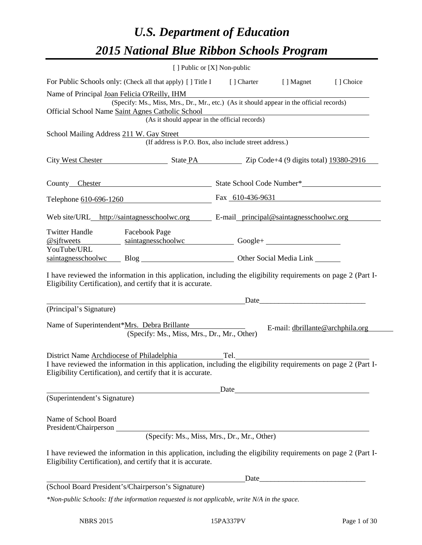# *U.S. Department of Education 2015 National Blue Ribbon Schools Program*

|                                                                                                                                                                                                                                                                      | [ ] Public or [X] Non-public                  |                                                        |                                  |           |
|----------------------------------------------------------------------------------------------------------------------------------------------------------------------------------------------------------------------------------------------------------------------|-----------------------------------------------|--------------------------------------------------------|----------------------------------|-----------|
| For Public Schools only: (Check all that apply) [ ] Title I [ ] Charter [ ] Magnet                                                                                                                                                                                   |                                               |                                                        |                                  | [] Choice |
| Name of Principal Joan Felicia O'Reilly, IHM                                                                                                                                                                                                                         |                                               |                                                        |                                  |           |
| (Specify: Ms., Miss, Mrs., Dr., Mr., etc.) (As it should appear in the official records)                                                                                                                                                                             |                                               |                                                        |                                  |           |
| Official School Name Saint Agnes Catholic School                                                                                                                                                                                                                     |                                               |                                                        |                                  |           |
|                                                                                                                                                                                                                                                                      |                                               | (As it should appear in the official records)          |                                  |           |
| School Mailing Address 211 W. Gay Street                                                                                                                                                                                                                             |                                               |                                                        |                                  |           |
|                                                                                                                                                                                                                                                                      |                                               | (If address is P.O. Box, also include street address.) |                                  |           |
|                                                                                                                                                                                                                                                                      |                                               |                                                        |                                  |           |
| City West Chester State PA Zip Code+4 (9 digits total) 19380-2916                                                                                                                                                                                                    |                                               |                                                        |                                  |           |
|                                                                                                                                                                                                                                                                      |                                               |                                                        |                                  |           |
|                                                                                                                                                                                                                                                                      |                                               |                                                        |                                  |           |
| Telephone 610-696-1260                                                                                                                                                                                                                                               |                                               | Fax 610-436-9631                                       |                                  |           |
|                                                                                                                                                                                                                                                                      |                                               |                                                        |                                  |           |
| Web site/URL_http://saintagnesschoolwc.org E-mail_principal@saintagnesschoolwc.org                                                                                                                                                                                   |                                               |                                                        |                                  |           |
| <b>Twitter Handle</b>                                                                                                                                                                                                                                                |                                               |                                                        |                                  |           |
| <b>Facebook Page</b><br>Saintagnesschoolwe Google+ Saintagnesschoolwe Google+ Saintagnesschoolwe Google+ Saintagnesschoolwe Google+ Saintagnesschoolwe Google+ Saintagnesschoolwe Google+ Saintagnesschoolwe Google+  Saintagnesschoolwe Google+  Sain<br>@siftwects |                                               |                                                        |                                  |           |
| YouTube/URL                                                                                                                                                                                                                                                          |                                               |                                                        |                                  |           |
| saintagnesschoolwc Blog Blog Cher Social Media Link                                                                                                                                                                                                                  |                                               |                                                        |                                  |           |
|                                                                                                                                                                                                                                                                      | <u> 1989 - Jan Samuel Barbara, margaret e</u> |                                                        |                                  |           |
| (Principal's Signature)                                                                                                                                                                                                                                              |                                               |                                                        |                                  |           |
| Name of Superintendent*Mrs. Debra Brillante                                                                                                                                                                                                                          | (Specify: Ms., Miss, Mrs., Dr., Mr., Other)   |                                                        | E-mail: dbrillante@archphila.org |           |
| District Name Archdiocese of Philadelphia Tel. Tel.                                                                                                                                                                                                                  |                                               |                                                        |                                  |           |
| I have reviewed the information in this application, including the eligibility requirements on page 2 (Part I-                                                                                                                                                       |                                               |                                                        |                                  |           |
| Eligibility Certification), and certify that it is accurate.                                                                                                                                                                                                         |                                               |                                                        |                                  |           |
|                                                                                                                                                                                                                                                                      |                                               |                                                        |                                  |           |
| (Superintendent's Signature)                                                                                                                                                                                                                                         |                                               | Date                                                   |                                  |           |
|                                                                                                                                                                                                                                                                      |                                               |                                                        |                                  |           |
| Name of School Board<br>President/Chairperson                                                                                                                                                                                                                        |                                               |                                                        |                                  |           |
|                                                                                                                                                                                                                                                                      |                                               | (Specify: Ms., Miss, Mrs., Dr., Mr., Other)            |                                  |           |
|                                                                                                                                                                                                                                                                      |                                               |                                                        |                                  |           |
| I have reviewed the information in this application, including the eligibility requirements on page 2 (Part I-<br>Eligibility Certification), and certify that it is accurate.                                                                                       |                                               |                                                        |                                  |           |
|                                                                                                                                                                                                                                                                      |                                               |                                                        |                                  |           |
| (School Board President's/Chairperson's Signature)                                                                                                                                                                                                                   |                                               |                                                        |                                  |           |
| *Non-public Schools: If the information requested is not applicable, write N/A in the space.                                                                                                                                                                         |                                               |                                                        |                                  |           |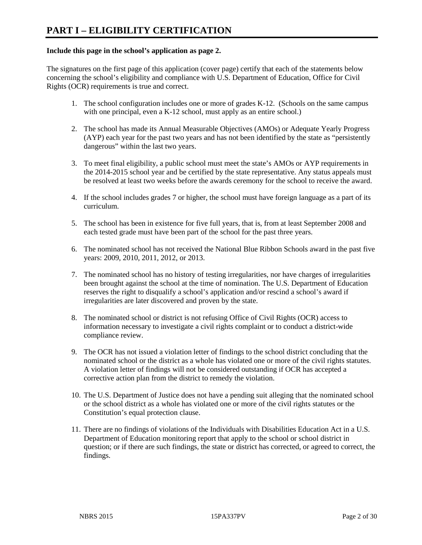#### **Include this page in the school's application as page 2.**

The signatures on the first page of this application (cover page) certify that each of the statements below concerning the school's eligibility and compliance with U.S. Department of Education, Office for Civil Rights (OCR) requirements is true and correct.

- 1. The school configuration includes one or more of grades K-12. (Schools on the same campus with one principal, even a K-12 school, must apply as an entire school.)
- 2. The school has made its Annual Measurable Objectives (AMOs) or Adequate Yearly Progress (AYP) each year for the past two years and has not been identified by the state as "persistently dangerous" within the last two years.
- 3. To meet final eligibility, a public school must meet the state's AMOs or AYP requirements in the 2014-2015 school year and be certified by the state representative. Any status appeals must be resolved at least two weeks before the awards ceremony for the school to receive the award.
- 4. If the school includes grades 7 or higher, the school must have foreign language as a part of its curriculum.
- 5. The school has been in existence for five full years, that is, from at least September 2008 and each tested grade must have been part of the school for the past three years.
- 6. The nominated school has not received the National Blue Ribbon Schools award in the past five years: 2009, 2010, 2011, 2012, or 2013.
- 7. The nominated school has no history of testing irregularities, nor have charges of irregularities been brought against the school at the time of nomination. The U.S. Department of Education reserves the right to disqualify a school's application and/or rescind a school's award if irregularities are later discovered and proven by the state.
- 8. The nominated school or district is not refusing Office of Civil Rights (OCR) access to information necessary to investigate a civil rights complaint or to conduct a district-wide compliance review.
- 9. The OCR has not issued a violation letter of findings to the school district concluding that the nominated school or the district as a whole has violated one or more of the civil rights statutes. A violation letter of findings will not be considered outstanding if OCR has accepted a corrective action plan from the district to remedy the violation.
- 10. The U.S. Department of Justice does not have a pending suit alleging that the nominated school or the school district as a whole has violated one or more of the civil rights statutes or the Constitution's equal protection clause.
- 11. There are no findings of violations of the Individuals with Disabilities Education Act in a U.S. Department of Education monitoring report that apply to the school or school district in question; or if there are such findings, the state or district has corrected, or agreed to correct, the findings.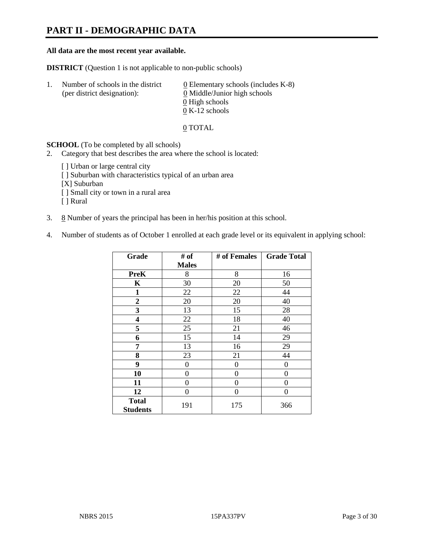# **PART II - DEMOGRAPHIC DATA**

#### **All data are the most recent year available.**

**DISTRICT** (Question 1 is not applicable to non-public schools)

| -1. | Number of schools in the district<br>(per district designation): | $\underline{0}$ Elementary schools (includes K-8)<br>0 Middle/Junior high schools<br>0 High schools |
|-----|------------------------------------------------------------------|-----------------------------------------------------------------------------------------------------|
|     |                                                                  |                                                                                                     |
|     |                                                                  | $0 K-12$ schools                                                                                    |

0 TOTAL

**SCHOOL** (To be completed by all schools)

- 2. Category that best describes the area where the school is located:
	- [] Urban or large central city
	- [ ] Suburban with characteristics typical of an urban area
	- [X] Suburban
	- [ ] Small city or town in a rural area
	- [ ] Rural
- 3.  $8$  Number of years the principal has been in her/his position at this school.
- 4. Number of students as of October 1 enrolled at each grade level or its equivalent in applying school:

| Grade                           | # of         | # of Females   | <b>Grade Total</b> |
|---------------------------------|--------------|----------------|--------------------|
|                                 | <b>Males</b> |                |                    |
| <b>PreK</b>                     | 8            | 8              | 16                 |
| K                               | 30           | 20             | 50                 |
| $\mathbf{1}$                    | 22           | 22             | 44                 |
| $\overline{2}$                  | 20           | 20             | 40                 |
| 3                               | 13           | 15             | 28                 |
| 4                               | 22           | 18             | 40                 |
| 5                               | 25           | 21             | 46                 |
| 6                               | 15           | 14             | 29                 |
| 7                               | 13           | 16             | 29                 |
| 8                               | 23           | 21             | 44                 |
| 9                               | 0            | $\overline{0}$ | 0                  |
| 10                              | 0            | 0              | 0                  |
| 11                              | 0            | 0              | 0                  |
| 12                              | 0            | 0              | 0                  |
| <b>Total</b><br><b>Students</b> | 191          | 175            | 366                |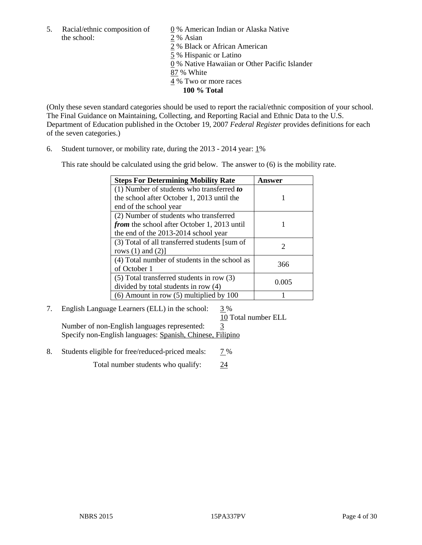the school: 2 % Asian

5. Racial/ethnic composition of  $\qquad \qquad \underline{0}$  % American Indian or Alaska Native

2 % Black or African American

5 % Hispanic or Latino

0 % Native Hawaiian or Other Pacific Islander

- 87 % White
- 4 % Two or more races
	- **100 % Total**

(Only these seven standard categories should be used to report the racial/ethnic composition of your school. The Final Guidance on Maintaining, Collecting, and Reporting Racial and Ethnic Data to the U.S. Department of Education published in the October 19, 2007 *Federal Register* provides definitions for each of the seven categories.)

6. Student turnover, or mobility rate, during the 2013 - 2014 year: 1%

This rate should be calculated using the grid below. The answer to (6) is the mobility rate.

| <b>Steps For Determining Mobility Rate</b>         | Answer |
|----------------------------------------------------|--------|
| $(1)$ Number of students who transferred to        |        |
| the school after October 1, 2013 until the         |        |
| end of the school year                             |        |
| (2) Number of students who transferred             |        |
| <i>from</i> the school after October 1, 2013 until |        |
| the end of the 2013-2014 school year               |        |
| (3) Total of all transferred students [sum of      | 2      |
| rows $(1)$ and $(2)$ ]                             |        |
| (4) Total number of students in the school as      | 366    |
| of October 1                                       |        |
| (5) Total transferred students in row (3)          |        |
| divided by total students in row (4)               | 0.005  |
| $(6)$ Amount in row $(5)$ multiplied by 100        |        |

# 7. English Language Learners (ELL) in the school: 3 %

10 Total number ELL

Number of non-English languages represented: 3 Specify non-English languages: Spanish, Chinese, Filipino

8. Students eligible for free/reduced-priced meals: 7%

Total number students who qualify: 24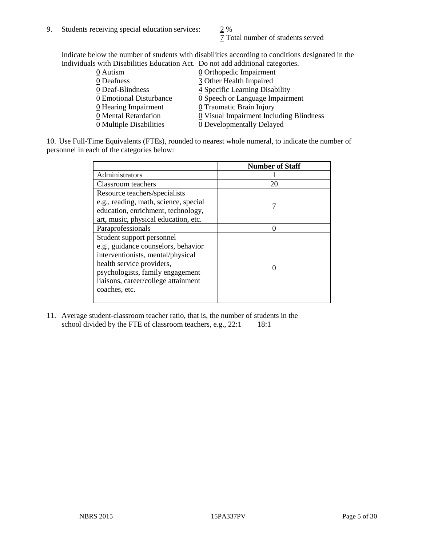$\frac{2}{1}$  Total number of students served

Indicate below the number of students with disabilities according to conditions designated in the Individuals with Disabilities Education Act. Do not add additional categories.

| 0 Autism                | <b>Q</b> Orthopedic Impairment                |
|-------------------------|-----------------------------------------------|
| 0 Deafness              | 3 Other Health Impaired                       |
| 0 Deaf-Blindness        | 4 Specific Learning Disability                |
| 0 Emotional Disturbance | $\underline{0}$ Speech or Language Impairment |
| $Q$ Hearing Impairment  | 0 Traumatic Brain Injury                      |
| 0 Mental Retardation    | 0 Visual Impairment Including Blindness       |
| 0 Multiple Disabilities | 0 Developmentally Delayed                     |
|                         |                                               |

10. Use Full-Time Equivalents (FTEs), rounded to nearest whole numeral, to indicate the number of personnel in each of the categories below:

|                                       | <b>Number of Staff</b> |
|---------------------------------------|------------------------|
| Administrators                        |                        |
| Classroom teachers                    | 20                     |
| Resource teachers/specialists         |                        |
| e.g., reading, math, science, special |                        |
| education, enrichment, technology,    |                        |
| art, music, physical education, etc.  |                        |
| Paraprofessionals                     |                        |
| Student support personnel             |                        |
| e.g., guidance counselors, behavior   |                        |
| interventionists, mental/physical     |                        |
| health service providers,             |                        |
| psychologists, family engagement      |                        |
| liaisons, career/college attainment   |                        |
| coaches, etc.                         |                        |
|                                       |                        |

11. Average student-classroom teacher ratio, that is, the number of students in the school divided by the FTE of classroom teachers, e.g.,  $22:1$  18:1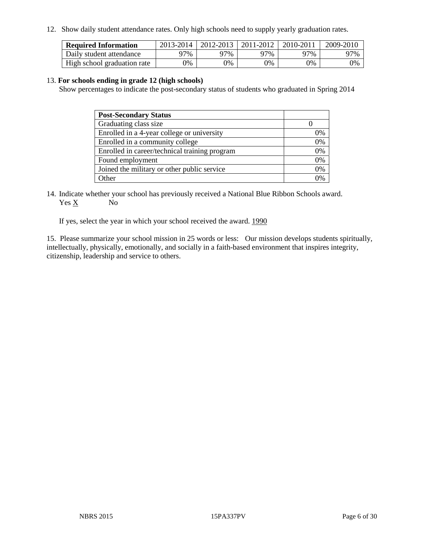12. Show daily student attendance rates. Only high schools need to supply yearly graduation rates.

| <b>Required Information</b> | 2013-2014 | 2012-2013 | 2011-2012 | 2010-2011 | 2009-2010 |
|-----------------------------|-----------|-----------|-----------|-----------|-----------|
| Daily student attendance    | 77%       | 97%       | 97%       | 97%       | 97%       |
| High school graduation rate | 9%        | $9\%$     | $0\%$     | 9%        | 0%        |

#### 13. **For schools ending in grade 12 (high schools)**

Show percentages to indicate the post-secondary status of students who graduated in Spring 2014

| <b>Post-Secondary Status</b>                  |    |
|-----------------------------------------------|----|
| Graduating class size                         |    |
| Enrolled in a 4-year college or university    | 0% |
| Enrolled in a community college               | 0% |
| Enrolled in career/technical training program | 0% |
| Found employment                              | 0% |
| Joined the military or other public service   | 0% |
| Other                                         |    |

14. Indicate whether your school has previously received a National Blue Ribbon Schools award. Yes X No

If yes, select the year in which your school received the award. 1990

15. Please summarize your school mission in 25 words or less: Our mission develops students spiritually, intellectually, physically, emotionally, and socially in a faith-based environment that inspires integrity, citizenship, leadership and service to others.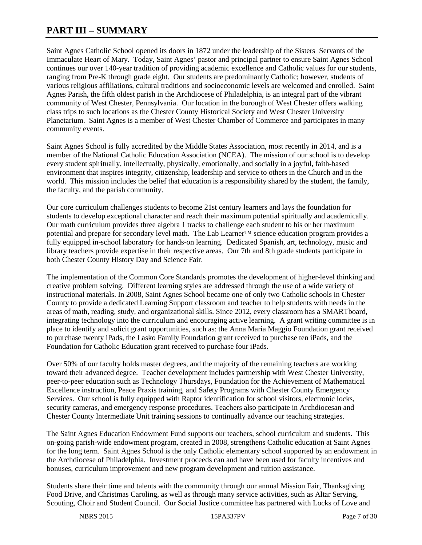# **PART III – SUMMARY**

Saint Agnes Catholic School opened its doors in 1872 under the leadership of the Sisters Servants of the Immaculate Heart of Mary. Today, Saint Agnes' pastor and principal partner to ensure Saint Agnes School continues our over 140-year tradition of providing academic excellence and Catholic values for our students, ranging from Pre-K through grade eight. Our students are predominantly Catholic; however, students of various religious affiliations, cultural traditions and socioeconomic levels are welcomed and enrolled. Saint Agnes Parish, the fifth oldest parish in the Archdiocese of Philadelphia, is an integral part of the vibrant community of West Chester, Pennsylvania. Our location in the borough of West Chester offers walking class trips to such locations as the Chester County Historical Society and West Chester University Planetarium. Saint Agnes is a member of West Chester Chamber of Commerce and participates in many community events.

Saint Agnes School is fully accredited by the Middle States Association, most recently in 2014, and is a member of the National Catholic Education Association (NCEA). The mission of our school is to develop every student spiritually, intellectually, physically, emotionally, and socially in a joyful, faith-based environment that inspires integrity, citizenship, leadership and service to others in the Church and in the world. This mission includes the belief that education is a responsibility shared by the student, the family, the faculty, and the parish community.

Our core curriculum challenges students to become 21st century learners and lays the foundation for students to develop exceptional character and reach their maximum potential spiritually and academically. Our math curriculum provides three algebra 1 tracks to challenge each student to his or her maximum potential and prepare for secondary level math. The Lab Learner™ science education program provides a fully equipped in-school laboratory for hands-on learning. Dedicated Spanish, art, technology, music and library teachers provide expertise in their respective areas. Our 7th and 8th grade students participate in both Chester County History Day and Science Fair.

The implementation of the Common Core Standards promotes the development of higher-level thinking and creative problem solving. Different learning styles are addressed through the use of a wide variety of instructional materials. In 2008, Saint Agnes School became one of only two Catholic schools in Chester County to provide a dedicated Learning Support classroom and teacher to help students with needs in the areas of math, reading, study, and organizational skills. Since 2012, every classroom has a SMARTboard, integrating technology into the curriculum and encouraging active learning. A grant writing committee is in place to identify and solicit grant opportunities, such as: the Anna Maria Maggio Foundation grant received to purchase twenty iPads, the Lasko Family Foundation grant received to purchase ten iPads, and the Foundation for Catholic Education grant received to purchase four iPads.

Over 50% of our faculty holds master degrees, and the majority of the remaining teachers are working toward their advanced degree. Teacher development includes partnership with West Chester University, peer-to-peer education such as Technology Thursdays, Foundation for the Achievement of Mathematical Excellence instruction, Peace Praxis training, and Safety Programs with Chester County Emergency Services. Our school is fully equipped with Raptor identification for school visitors, electronic locks, security cameras, and emergency response procedures. Teachers also participate in Archdiocesan and Chester County Intermediate Unit training sessions to continually advance our teaching strategies.

The Saint Agnes Education Endowment Fund supports our teachers, school curriculum and students. This on-going parish-wide endowment program, created in 2008, strengthens Catholic education at Saint Agnes for the long term. Saint Agnes School is the only Catholic elementary school supported by an endowment in the Archdiocese of Philadelphia. Investment proceeds can and have been used for faculty incentives and bonuses, curriculum improvement and new program development and tuition assistance.

Students share their time and talents with the community through our annual Mission Fair, Thanksgiving Food Drive, and Christmas Caroling, as well as through many service activities, such as Altar Serving, Scouting, Choir and Student Council. Our Social Justice committee has partnered with Locks of Love and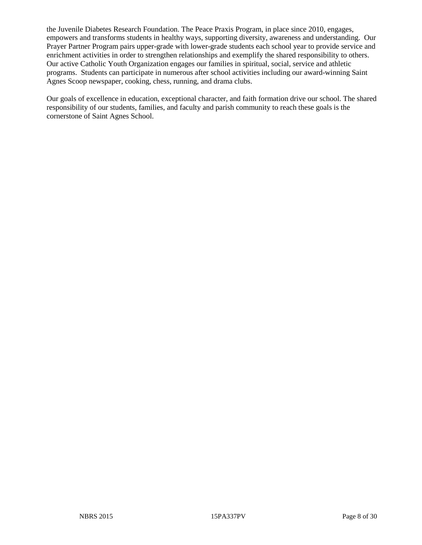the Juvenile Diabetes Research Foundation. The Peace Praxis Program, in place since 2010, engages, empowers and transforms students in healthy ways, supporting diversity, awareness and understanding. Our Prayer Partner Program pairs upper-grade with lower-grade students each school year to provide service and enrichment activities in order to strengthen relationships and exemplify the shared responsibility to others. Our active Catholic Youth Organization engages our families in spiritual, social, service and athletic programs. Students can participate in numerous after school activities including our award-winning Saint Agnes Scoop newspaper, cooking, chess, running, and drama clubs.

Our goals of excellence in education, exceptional character, and faith formation drive our school. The shared responsibility of our students, families, and faculty and parish community to reach these goals is the cornerstone of Saint Agnes School.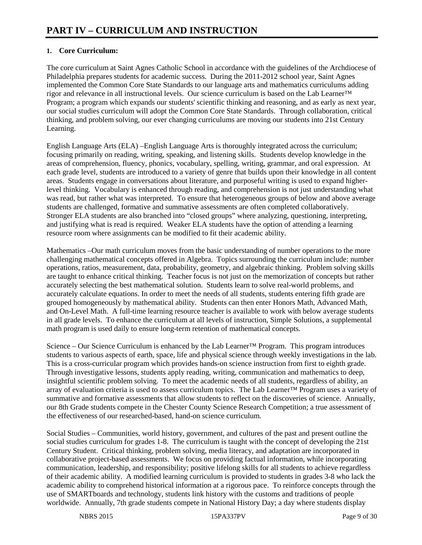#### **1. Core Curriculum:**

The core curriculum at Saint Agnes Catholic School in accordance with the guidelines of the Archdiocese of Philadelphia prepares students for academic success. During the 2011-2012 school year, Saint Agnes implemented the Common Core State Standards to our language arts and mathematics curriculums adding rigor and relevance in all instructional levels. Our science curriculum is based on the Lab Learner™ Program; a program which expands our students' scientific thinking and reasoning, and as early as next year, our social studies curriculum will adopt the Common Core State Standards. Through collaboration, critical thinking, and problem solving, our ever changing curriculums are moving our students into 21st Century Learning.

English Language Arts (ELA) –English Language Arts is thoroughly integrated across the curriculum; focusing primarily on reading, writing, speaking, and listening skills. Students develop knowledge in the areas of comprehension, fluency, phonics, vocabulary, spelling, writing, grammar, and oral expression. At each grade level, students are introduced to a variety of genre that builds upon their knowledge in all content areas. Students engage in conversations about literature, and purposeful writing is used to expand higherlevel thinking. Vocabulary is enhanced through reading, and comprehension is not just understanding what was read, but rather what was interpreted. To ensure that heterogeneous groups of below and above average students are challenged, formative and summative assessments are often completed collaboratively. Stronger ELA students are also branched into "closed groups" where analyzing, questioning, interpreting, and justifying what is read is required. Weaker ELA students have the option of attending a learning resource room where assignments can be modified to fit their academic ability.

Mathematics –Our math curriculum moves from the basic understanding of number operations to the more challenging mathematical concepts offered in Algebra. Topics surrounding the curriculum include: number operations, ratios, measurement, data, probability, geometry, and algebraic thinking. Problem solving skills are taught to enhance critical thinking. Teacher focus is not just on the memorization of concepts but rather accurately selecting the best mathematical solution. Students learn to solve real-world problems, and accurately calculate equations. In order to meet the needs of all students, students entering fifth grade are grouped homogeneously by mathematical ability. Students can then enter Honors Math, Advanced Math, and On-Level Math. A full-time learning resource teacher is available to work with below average students in all grade levels. To enhance the curriculum at all levels of instruction, Simple Solutions, a supplemental math program is used daily to ensure long-term retention of mathematical concepts.

Science – Our Science Curriculum is enhanced by the Lab Learner<sup>™</sup> Program. This program introduces students to various aspects of earth, space, life and physical science through weekly investigations in the lab. This is a cross-curricular program which provides hands-on science instruction from first to eighth grade. Through investigative lessons, students apply reading, writing, communication and mathematics to deep, insightful scientific problem solving. To meet the academic needs of all students, regardless of ability, an array of evaluation criteria is used to assess curriculum topics. The Lab Learner™ Program uses a variety of summative and formative assessments that allow students to reflect on the discoveries of science. Annually, our 8th Grade students compete in the Chester County Science Research Competition; a true assessment of the effectiveness of our researched-based, hand-on science curriculum.

Social Studies – Communities, world history, government, and cultures of the past and present outline the social studies curriculum for grades 1-8. The curriculum is taught with the concept of developing the 21st Century Student. Critical thinking, problem solving, media literacy, and adaptation are incorporated in collaborative project-based assessments. We focus on providing factual information, while incorporating communication, leadership, and responsibility; positive lifelong skills for all students to achieve regardless of their academic ability. A modified learning curriculum is provided to students in grades 3-8 who lack the academic ability to comprehend historical information at a rigorous pace. To reinforce concepts through the use of SMARTboards and technology, students link history with the customs and traditions of people worldwide. Annually, 7th grade students compete in National History Day; a day where students display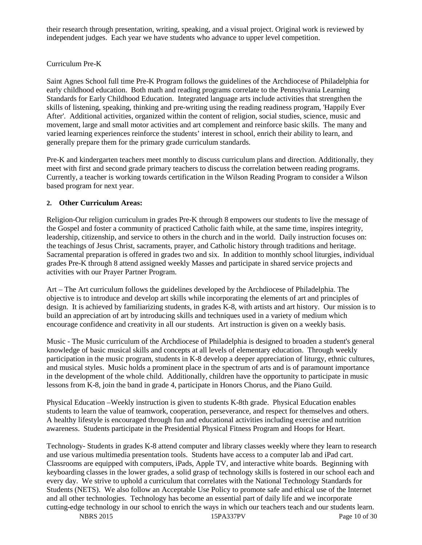their research through presentation, writing, speaking, and a visual project. Original work is reviewed by independent judges. Each year we have students who advance to upper level competition.

#### Curriculum Pre-K

Saint Agnes School full time Pre-K Program follows the guidelines of the Archdiocese of Philadelphia for early childhood education. Both math and reading programs correlate to the Pennsylvania Learning Standards for Early Childhood Education. Integrated language arts include activities that strengthen the skills of listening, speaking, thinking and pre-writing using the reading readiness program, 'Happily Ever After'. Additional activities, organized within the content of religion, social studies, science, music and movement, large and small motor activities and art complement and reinforce basic skills. The many and varied learning experiences reinforce the students' interest in school, enrich their ability to learn, and generally prepare them for the primary grade curriculum standards.

Pre-K and kindergarten teachers meet monthly to discuss curriculum plans and direction. Additionally, they meet with first and second grade primary teachers to discuss the correlation between reading programs. Currently, a teacher is working towards certification in the Wilson Reading Program to consider a Wilson based program for next year.

#### **2. Other Curriculum Areas:**

Religion-Our religion curriculum in grades Pre-K through 8 empowers our students to live the message of the Gospel and foster a community of practiced Catholic faith while, at the same time, inspires integrity, leadership, citizenship, and service to others in the church and in the world. Daily instruction focuses on: the teachings of Jesus Christ, sacraments, prayer, and Catholic history through traditions and heritage. Sacramental preparation is offered in grades two and six. In addition to monthly school liturgies, individual grades Pre-K through 8 attend assigned weekly Masses and participate in shared service projects and activities with our Prayer Partner Program.

Art – The Art curriculum follows the guidelines developed by the Archdiocese of Philadelphia. The objective is to introduce and develop art skills while incorporating the elements of art and principles of design. It is achieved by familiarizing students, in grades K-8, with artists and art history. Our mission is to build an appreciation of art by introducing skills and techniques used in a variety of medium which encourage confidence and creativity in all our students. Art instruction is given on a weekly basis.

Music - The Music curriculum of the Archdiocese of Philadelphia is designed to broaden a student's general knowledge of basic musical skills and concepts at all levels of elementary education. Through weekly participation in the music program, students in K-8 develop a deeper appreciation of liturgy, ethnic cultures, and musical styles. Music holds a prominent place in the spectrum of arts and is of paramount importance in the development of the whole child. Additionally, children have the opportunity to participate in music lessons from K-8, join the band in grade 4, participate in Honors Chorus, and the Piano Guild.

Physical Education –Weekly instruction is given to students K-8th grade. Physical Education enables students to learn the value of teamwork, cooperation, perseverance, and respect for themselves and others. A healthy lifestyle is encouraged through fun and educational activities including exercise and nutrition awareness. Students participate in the Presidential Physical Fitness Program and Hoops for Heart.

Technology- Students in grades K-8 attend computer and library classes weekly where they learn to research and use various multimedia presentation tools. Students have access to a computer lab and iPad cart. Classrooms are equipped with computers, iPads, Apple TV, and interactive white boards. Beginning with keyboarding classes in the lower grades, a solid grasp of technology skills is fostered in our school each and every day. We strive to uphold a curriculum that correlates with the National Technology Standards for Students (NETS). We also follow an Acceptable Use Policy to promote safe and ethical use of the Internet and all other technologies. Technology has become an essential part of daily life and we incorporate cutting-edge technology in our school to enrich the ways in which our teachers teach and our students learn.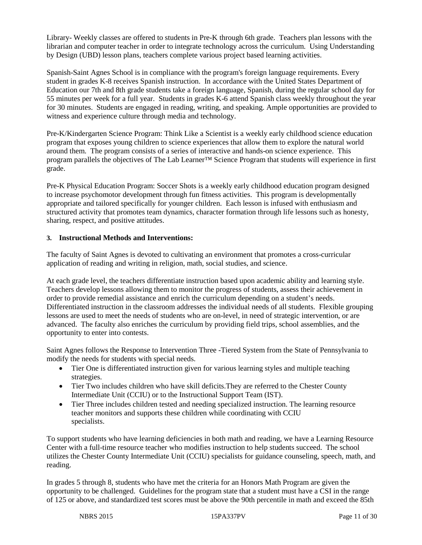Library- Weekly classes are offered to students in Pre-K through 6th grade. Teachers plan lessons with the librarian and computer teacher in order to integrate technology across the curriculum. Using Understanding by Design (UBD) lesson plans, teachers complete various project based learning activities.

Spanish-Saint Agnes School is in compliance with the program's foreign language requirements. Every student in grades K-8 receives Spanish instruction. In accordance with the United States Department of Education our 7th and 8th grade students take a foreign language, Spanish, during the regular school day for 55 minutes per week for a full year. Students in grades K-6 attend Spanish class weekly throughout the year for 30 minutes. Students are engaged in reading, writing, and speaking. Ample opportunities are provided to witness and experience culture through media and technology.

Pre-K/Kindergarten Science Program: Think Like a Scientist is a weekly early childhood science education program that exposes young children to science experiences that allow them to explore the natural world around them. The program consists of a series of interactive and hands-on science experience. This program parallels the objectives of The Lab Learner™ Science Program that students will experience in first grade.

Pre-K Physical Education Program: Soccer Shots is a weekly early childhood education program designed to increase psychomotor development through fun fitness activities. This program is developmentally appropriate and tailored specifically for younger children. Each lesson is infused with enthusiasm and structured activity that promotes team dynamics, character formation through life lessons such as honesty, sharing, respect, and positive attitudes.

#### **3. Instructional Methods and Interventions:**

The faculty of Saint Agnes is devoted to cultivating an environment that promotes a cross-curricular application of reading and writing in religion, math, social studies, and science.

At each grade level, the teachers differentiate instruction based upon academic ability and learning style. Teachers develop lessons allowing them to monitor the progress of students, assess their achievement in order to provide remedial assistance and enrich the curriculum depending on a student's needs. Differentiated instruction in the classroom addresses the individual needs of all students. Flexible grouping lessons are used to meet the needs of students who are on-level, in need of strategic intervention, or are advanced. The faculty also enriches the curriculum by providing field trips, school assemblies, and the opportunity to enter into contests.

Saint Agnes follows the Response to Intervention Three -Tiered System from the State of Pennsylvania to modify the needs for students with special needs.

- Tier One is differentiated instruction given for various learning styles and multiple teaching strategies.
- Tier Two includes children who have skill deficits. They are referred to the Chester County Intermediate Unit (CCIU) or to the Instructional Support Team (IST).
- Tier Three includes children tested and needing specialized instruction. The learning resource teacher monitors and supports these children while coordinating with CCIU specialists.

To support students who have learning deficiencies in both math and reading, we have a Learning Resource Center with a full-time resource teacher who modifies instruction to help students succeed. The school utilizes the Chester County Intermediate Unit (CCIU) specialists for guidance counseling, speech, math, and reading.

In grades 5 through 8, students who have met the criteria for an Honors Math Program are given the opportunity to be challenged. Guidelines for the program state that a student must have a CSI in the range of 125 or above, and standardized test scores must be above the 90th percentile in math and exceed the 85th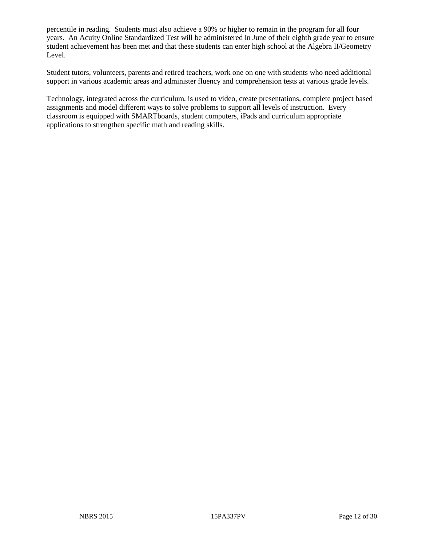percentile in reading. Students must also achieve a 90% or higher to remain in the program for all four years. An Acuity Online Standardized Test will be administered in June of their eighth grade year to ensure student achievement has been met and that these students can enter high school at the Algebra II/Geometry Level.

Student tutors, volunteers, parents and retired teachers, work one on one with students who need additional support in various academic areas and administer fluency and comprehension tests at various grade levels.

Technology, integrated across the curriculum, is used to video, create presentations, complete project based assignments and model different ways to solve problems to support all levels of instruction. Every classroom is equipped with SMARTboards, student computers, iPads and curriculum appropriate applications to strengthen specific math and reading skills.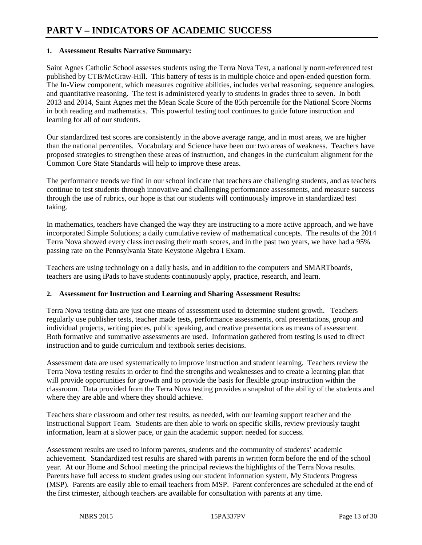# **PART V – INDICATORS OF ACADEMIC SUCCESS**

#### **1. Assessment Results Narrative Summary:**

Saint Agnes Catholic School assesses students using the Terra Nova Test, a nationally norm-referenced test published by CTB/McGraw-Hill. This battery of tests is in multiple choice and open-ended question form. The In-View component, which measures cognitive abilities, includes verbal reasoning, sequence analogies, and quantitative reasoning. The test is administered yearly to students in grades three to seven. In both 2013 and 2014, Saint Agnes met the Mean Scale Score of the 85th percentile for the National Score Norms in both reading and mathematics. This powerful testing tool continues to guide future instruction and learning for all of our students.

Our standardized test scores are consistently in the above average range, and in most areas, we are higher than the national percentiles. Vocabulary and Science have been our two areas of weakness. Teachers have proposed strategies to strengthen these areas of instruction, and changes in the curriculum alignment for the Common Core State Standards will help to improve these areas.

The performance trends we find in our school indicate that teachers are challenging students, and as teachers continue to test students through innovative and challenging performance assessments, and measure success through the use of rubrics, our hope is that our students will continuously improve in standardized test taking.

In mathematics, teachers have changed the way they are instructing to a more active approach, and we have incorporated Simple Solutions; a daily cumulative review of mathematical concepts. The results of the 2014 Terra Nova showed every class increasing their math scores, and in the past two years, we have had a 95% passing rate on the Pennsylvania State Keystone Algebra I Exam.

Teachers are using technology on a daily basis, and in addition to the computers and SMARTboards, teachers are using iPads to have students continuously apply, practice, research, and learn.

#### **2. Assessment for Instruction and Learning and Sharing Assessment Results:**

Terra Nova testing data are just one means of assessment used to determine student growth. Teachers regularly use publisher tests, teacher made tests, performance assessments, oral presentations, group and individual projects, writing pieces, public speaking, and creative presentations as means of assessment. Both formative and summative assessments are used. Information gathered from testing is used to direct instruction and to guide curriculum and textbook series decisions.

Assessment data are used systematically to improve instruction and student learning. Teachers review the Terra Nova testing results in order to find the strengths and weaknesses and to create a learning plan that will provide opportunities for growth and to provide the basis for flexible group instruction within the classroom. Data provided from the Terra Nova testing provides a snapshot of the ability of the students and where they are able and where they should achieve.

Teachers share classroom and other test results, as needed, with our learning support teacher and the Instructional Support Team. Students are then able to work on specific skills, review previously taught information, learn at a slower pace, or gain the academic support needed for success.

Assessment results are used to inform parents, students and the community of students' academic achievement. Standardized test results are shared with parents in written form before the end of the school year. At our Home and School meeting the principal reviews the highlights of the Terra Nova results. Parents have full access to student grades using our student information system, My Students Progress (MSP). Parents are easily able to email teachers from MSP. Parent conferences are scheduled at the end of the first trimester, although teachers are available for consultation with parents at any time.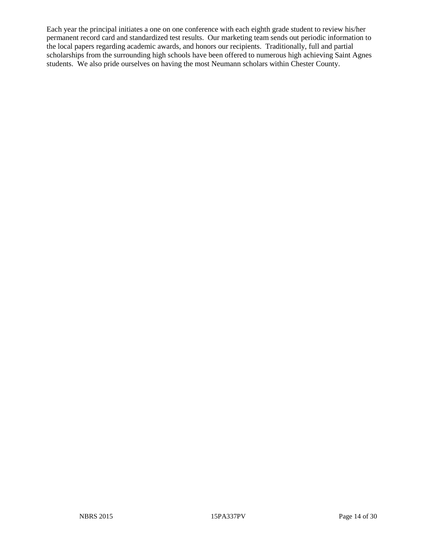Each year the principal initiates a one on one conference with each eighth grade student to review his/her permanent record card and standardized test results. Our marketing team sends out periodic information to the local papers regarding academic awards, and honors our recipients. Traditionally, full and partial scholarships from the surrounding high schools have been offered to numerous high achieving Saint Agnes students. We also pride ourselves on having the most Neumann scholars within Chester County.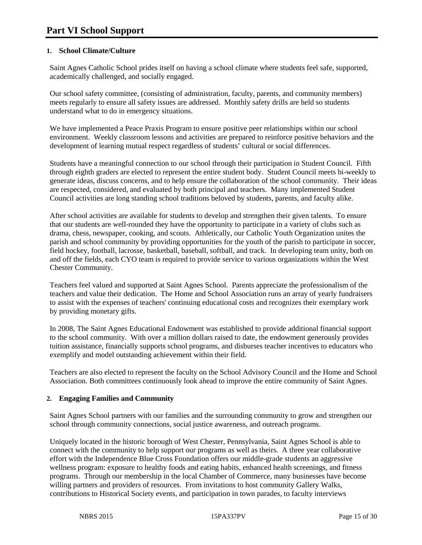#### **1. School Climate/Culture**

Saint Agnes Catholic School prides itself on having a school climate where students feel safe, supported, academically challenged, and socially engaged.

Our school safety committee, (consisting of administration, faculty, parents, and community members) meets regularly to ensure all safety issues are addressed. Monthly safety drills are held so students understand what to do in emergency situations.

We have implemented a Peace Praxis Program to ensure positive peer relationships within our school environment. Weekly classroom lessons and activities are prepared to reinforce positive behaviors and the development of learning mutual respect regardless of students' cultural or social differences.

Students have a meaningful connection to our school through their participation in Student Council. Fifth through eighth graders are elected to represent the entire student body. Student Council meets bi-weekly to generate ideas, discuss concerns, and to help ensure the collaboration of the school community. Their ideas are respected, considered, and evaluated by both principal and teachers. Many implemented Student Council activities are long standing school traditions beloved by students, parents, and faculty alike.

After school activities are available for students to develop and strengthen their given talents. To ensure that our students are well-rounded they have the opportunity to participate in a variety of clubs such as drama, chess, newspaper, cooking, and scouts. Athletically, our Catholic Youth Organization unites the parish and school community by providing opportunities for the youth of the parish to participate in soccer, field hockey, football, lacrosse, basketball, baseball, softball, and track. In developing team unity, both on and off the fields, each CYO team is required to provide service to various organizations within the West Chester Community.

Teachers feel valued and supported at Saint Agnes School. Parents appreciate the professionalism of the teachers and value their dedication. The Home and School Association runs an array of yearly fundraisers to assist with the expenses of teachers' continuing educational costs and recognizes their exemplary work by providing monetary gifts.

In 2008, The Saint Agnes Educational Endowment was established to provide additional financial support to the school community. With over a million dollars raised to date, the endowment generously provides tuition assistance, financially supports school programs, and disburses teacher incentives to educators who exemplify and model outstanding achievement within their field.

Teachers are also elected to represent the faculty on the School Advisory Council and the Home and School Association. Both committees continuously look ahead to improve the entire community of Saint Agnes.

#### **2. Engaging Families and Community**

Saint Agnes School partners with our families and the surrounding community to grow and strengthen our school through community connections, social justice awareness, and outreach programs.

Uniquely located in the historic borough of West Chester, Pennsylvania, Saint Agnes School is able to connect with the community to help support our programs as well as theirs. A three year collaborative effort with the Independence Blue Cross Foundation offers our middle-grade students an aggressive wellness program: exposure to healthy foods and eating habits, enhanced health screenings, and fitness programs. Through our membership in the local Chamber of Commerce, many businesses have become willing partners and providers of resources. From invitations to host community Gallery Walks, contributions to Historical Society events, and participation in town parades, to faculty interviews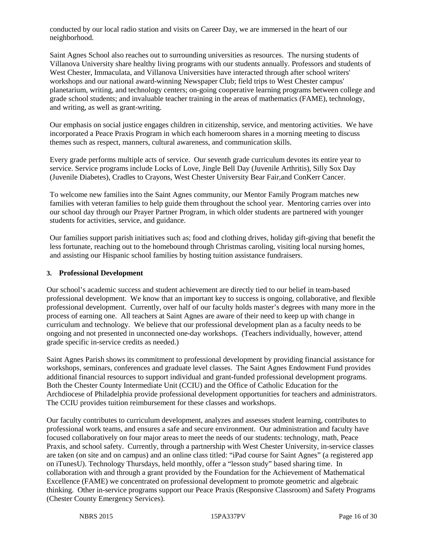conducted by our local radio station and visits on Career Day, we are immersed in the heart of our neighborhood.

Saint Agnes School also reaches out to surrounding universities as resources. The nursing students of Villanova University share healthy living programs with our students annually. Professors and students of West Chester, Immaculata, and Villanova Universities have interacted through after school writers' workshops and our national award-winning Newspaper Club; field trips to West Chester campus' planetarium, writing, and technology centers; on-going cooperative learning programs between college and grade school students; and invaluable teacher training in the areas of mathematics (FAME), technology, and writing, as well as grant-writing.

Our emphasis on social justice engages children in citizenship, service, and mentoring activities. We have incorporated a Peace Praxis Program in which each homeroom shares in a morning meeting to discuss themes such as respect, manners, cultural awareness, and communication skills.

Every grade performs multiple acts of service. Our seventh grade curriculum devotes its entire year to service. Service programs include Locks of Love, Jingle Bell Day (Juvenile Arthritis), Silly Sox Day (Juvenile Diabetes), Cradles to Crayons, West Chester University Bear Fair,and ConKerr Cancer.

To welcome new families into the Saint Agnes community, our Mentor Family Program matches new families with veteran families to help guide them throughout the school year. Mentoring carries over into our school day through our Prayer Partner Program, in which older students are partnered with younger students for activities, service, and guidance.

Our families support parish initiatives such as; food and clothing drives, holiday gift-giving that benefit the less fortunate, reaching out to the homebound through Christmas caroling, visiting local nursing homes, and assisting our Hispanic school families by hosting tuition assistance fundraisers.

#### **3. Professional Development**

Our school's academic success and student achievement are directly tied to our belief in team-based professional development. We know that an important key to success is ongoing, collaborative, and flexible professional development. Currently, over half of our faculty holds master's degrees with many more in the process of earning one. All teachers at Saint Agnes are aware of their need to keep up with change in curriculum and technology. We believe that our professional development plan as a faculty needs to be ongoing and not presented in unconnected one-day workshops. (Teachers individually, however, attend grade specific in-service credits as needed.)

Saint Agnes Parish shows its commitment to professional development by providing financial assistance for workshops, seminars, conferences and graduate level classes. The Saint Agnes Endowment Fund provides additional financial resources to support individual and grant-funded professional development programs. Both the Chester County Intermediate Unit (CCIU) and the Office of Catholic Education for the Archdiocese of Philadelphia provide professional development opportunities for teachers and administrators. The CCIU provides tuition reimbursement for these classes and workshops.

Our faculty contributes to curriculum development, analyzes and assesses student learning, contributes to professional work teams, and ensures a safe and secure environment. Our administration and faculty have focused collaboratively on four major areas to meet the needs of our students: technology, math, Peace Praxis, and school safety. Currently, through a partnership with West Chester University, in-service classes are taken (on site and on campus) and an online class titled: "iPad course for Saint Agnes" (a registered app on iTunesU). Technology Thursdays, held monthly, offer a "lesson study" based sharing time. In collaboration with and through a grant provided by the Foundation for the Achievement of Mathematical Excellence (FAME) we concentrated on professional development to promote geometric and algebraic thinking. Other in-service programs support our Peace Praxis (Responsive Classroom) and Safety Programs (Chester County Emergency Services).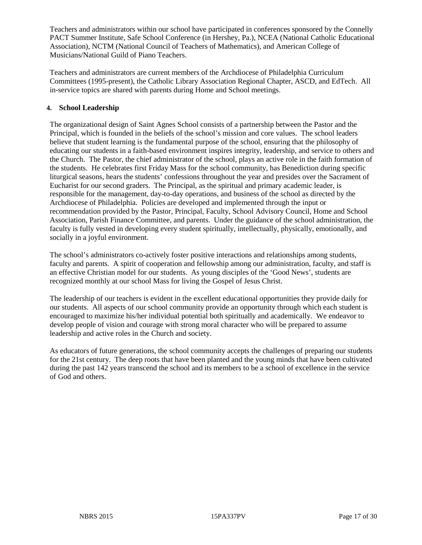Teachers and administrators within our school have participated in conferences sponsored by the Connelly PACT Summer Institute, Safe School Conference (in Hershey, Pa.), NCEA (National Catholic Educational Association), NCTM (National Council of Teachers of Mathematics), and American College of Musicians/National Guild of Piano Teachers.

Teachers and administrators are current members of the Archdiocese of Philadelphia Curriculum Committees (1995-present), the Catholic Library Association Regional Chapter, ASCD, and EdTech. All in-service topics are shared with parents during Home and School meetings.

#### **4. School Leadership**

The organizational design of Saint Agnes School consists of a partnership between the Pastor and the Principal, which is founded in the beliefs of the school's mission and core values. The school leaders believe that student learning is the fundamental purpose of the school, ensuring that the philosophy of educating our students in a faith-based environment inspires integrity, leadership, and service to others and the Church. The Pastor, the chief administrator of the school, plays an active role in the faith formation of the students. He celebrates first Friday Mass for the school community, has Benediction during specific liturgical seasons, hears the students' confessions throughout the year and presides over the Sacrament of Eucharist for our second graders. The Principal, as the spiritual and primary academic leader, is responsible for the management, day-to-day operations, and business of the school as directed by the Archdiocese of Philadelphia. Policies are developed and implemented through the input or recommendation provided by the Pastor, Principal, Faculty, School Advisory Council, Home and School Association, Parish Finance Committee, and parents. Under the guidance of the school administration, the faculty is fully vested in developing every student spiritually, intellectually, physically, emotionally, and socially in a joyful environment.

The school's administrators co-actively foster positive interactions and relationships among students, faculty and parents. A spirit of cooperation and fellowship among our administration, faculty, and staff is an effective Christian model for our students. As young disciples of the 'Good News', students are recognized monthly at our school Mass for living the Gospel of Jesus Christ.

The leadership of our teachers is evident in the excellent educational opportunities they provide daily for our students. All aspects of our school community provide an opportunity through which each student is encouraged to maximize his/her individual potential both spiritually and academically. We endeavor to develop people of vision and courage with strong moral character who will be prepared to assume leadership and active roles in the Church and society.

As educators of future generations, the school community accepts the challenges of preparing our students for the 21st century. The deep roots that have been planted and the young minds that have been cultivated during the past 142 years transcend the school and its members to be a school of excellence in the service of God and others.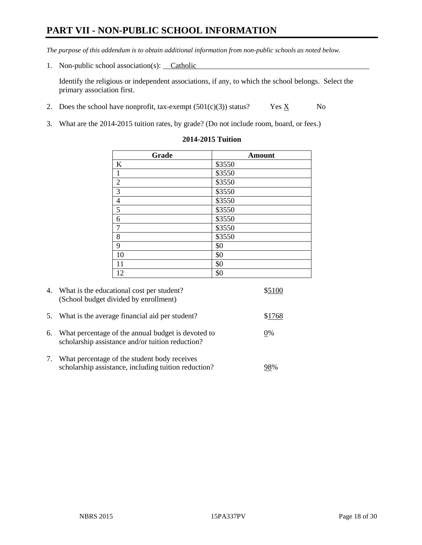# **PART VII - NON-PUBLIC SCHOOL INFORMATION**

*The purpose of this addendum is to obtain additional information from non-public schools as noted below.*

1. Non-public school association(s): Catholic

Identify the religious or independent associations, if any, to which the school belongs. Select the primary association first.

- 2. Does the school have nonprofit, tax-exempt  $(501(c)(3))$  status? Yes  $\underline{X}$  No
- 3. What are the 2014-2015 tuition rates, by grade? (Do not include room, board, or fees.)

| Grade          | <b>Amount</b> |
|----------------|---------------|
| K              | \$3550        |
| $\mathbf{1}$   | \$3550        |
| $\overline{2}$ | \$3550        |
| $\overline{3}$ | \$3550        |
| $\overline{4}$ | \$3550        |
| $\overline{5}$ | \$3550        |
| 6              | \$3550        |
| $\overline{7}$ | \$3550        |
| 8              | \$3550        |
| 9              | \$0           |
| 10             | \$0           |
| 11             | \$0           |
| 12             | \$0           |

#### **2014-2015 Tuition**

|    | 4. What is the educational cost per student?<br>(School budget divided by enrollment)                  |        |
|----|--------------------------------------------------------------------------------------------------------|--------|
| 5. | What is the average financial aid per student?                                                         | \$1768 |
| 6. | What percentage of the annual budget is devoted to<br>scholarship assistance and/or tuition reduction? | 0%     |
| 7. | What percentage of the student body receives<br>scholarship assistance, including tuition reduction?   | 78%    |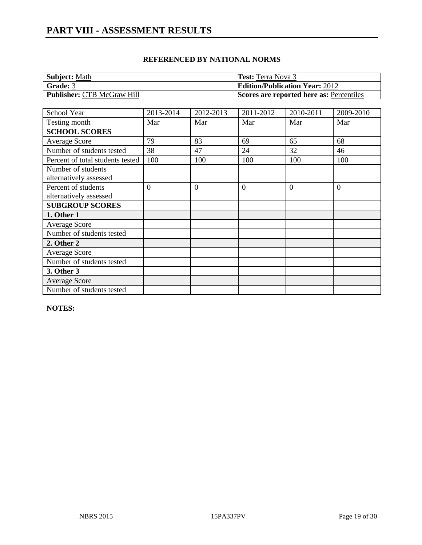| <b>Subject: Math</b>              | <b>Test:</b> Terra Nova 3                |
|-----------------------------------|------------------------------------------|
| Grade: 3                          | <b>Edition/Publication Year: 2012</b>    |
| <b>Publisher: CTB McGraw Hill</b> | Scores are reported here as: Percentiles |

| School Year                      | 2013-2014      | 2012-2013 | 2011-2012 | 2010-2011 | 2009-2010 |
|----------------------------------|----------------|-----------|-----------|-----------|-----------|
| Testing month                    | Mar            | Mar       | Mar       | Mar       | Mar       |
| <b>SCHOOL SCORES</b>             |                |           |           |           |           |
| <b>Average Score</b>             | 79             | 83        | 69        | 65        | 68        |
| Number of students tested        | 38             | 47        | 24        | 32        | 46        |
| Percent of total students tested | 100            | 100       | 100       | 100       | 100       |
| Number of students               |                |           |           |           |           |
| alternatively assessed           |                |           |           |           |           |
| Percent of students              | $\overline{0}$ | $\Omega$  | $\theta$  | $\Omega$  | $\theta$  |
| alternatively assessed           |                |           |           |           |           |
| <b>SUBGROUP SCORES</b>           |                |           |           |           |           |
| 1. Other 1                       |                |           |           |           |           |
| <b>Average Score</b>             |                |           |           |           |           |
| Number of students tested        |                |           |           |           |           |
| 2. Other 2                       |                |           |           |           |           |
| <b>Average Score</b>             |                |           |           |           |           |
| Number of students tested        |                |           |           |           |           |
| 3. Other 3                       |                |           |           |           |           |
| <b>Average Score</b>             |                |           |           |           |           |
| Number of students tested        |                |           |           |           |           |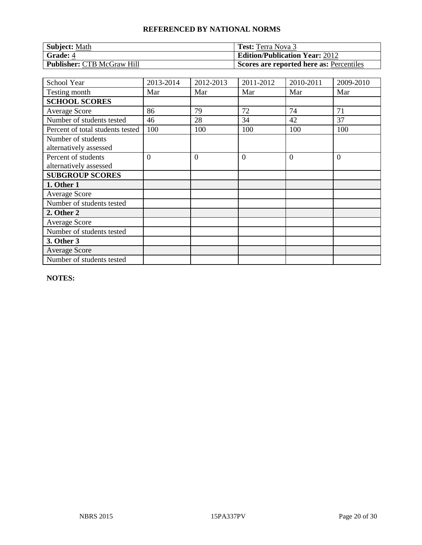| <b>Subject: Math</b>              | <b>Test:</b> Terra Nova 3                |
|-----------------------------------|------------------------------------------|
| <b>Grade: 4</b>                   | <b>Edition/Publication Year: 2012</b>    |
| <b>Publisher: CTB McGraw Hill</b> | Scores are reported here as: Percentiles |

| School Year                                   | 2013-2014      | 2012-2013      | 2011-2012      | 2010-2011 | 2009-2010 |
|-----------------------------------------------|----------------|----------------|----------------|-----------|-----------|
| Testing month                                 | Mar            | Mar            | Mar            | Mar       | Mar       |
| <b>SCHOOL SCORES</b>                          |                |                |                |           |           |
| Average Score                                 | 86             | 79             | 72             | 74        | 71        |
| Number of students tested                     | 46             | 28             | 34             | 42        | 37        |
| Percent of total students tested              | 100            | 100            | 100            | 100       | 100       |
| Number of students<br>alternatively assessed  |                |                |                |           |           |
| Percent of students<br>alternatively assessed | $\overline{0}$ | $\overline{0}$ | $\overline{0}$ | $\theta$  | $\theta$  |
| <b>SUBGROUP SCORES</b>                        |                |                |                |           |           |
| 1. Other 1                                    |                |                |                |           |           |
| <b>Average Score</b>                          |                |                |                |           |           |
| Number of students tested                     |                |                |                |           |           |
| 2. Other 2                                    |                |                |                |           |           |
| <b>Average Score</b>                          |                |                |                |           |           |
| Number of students tested                     |                |                |                |           |           |
| 3. Other 3                                    |                |                |                |           |           |
| <b>Average Score</b>                          |                |                |                |           |           |
| Number of students tested                     |                |                |                |           |           |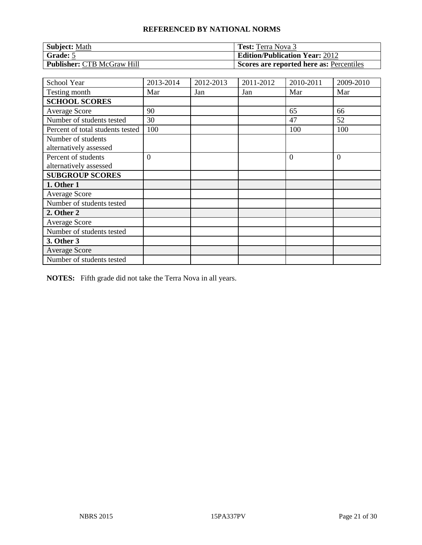| <b>Subject: Math</b>              | <b>Test:</b> Terra Nova 3                |
|-----------------------------------|------------------------------------------|
| Grade: 5                          | <b>Edition/Publication Year: 2012</b>    |
| <b>Publisher: CTB McGraw Hill</b> | Scores are reported here as: Percentiles |

| School Year                                   | 2013-2014 | 2012-2013 | 2011-2012 | 2010-2011 | 2009-2010      |
|-----------------------------------------------|-----------|-----------|-----------|-----------|----------------|
| Testing month                                 | Mar       | Jan       | Jan       | Mar       | Mar            |
| <b>SCHOOL SCORES</b>                          |           |           |           |           |                |
| Average Score                                 | 90        |           |           | 65        | 66             |
| Number of students tested                     | 30        |           |           | 47        | 52             |
| Percent of total students tested              | 100       |           |           | 100       | 100            |
| Number of students<br>alternatively assessed  |           |           |           |           |                |
| Percent of students<br>alternatively assessed | $\theta$  |           |           | $\theta$  | $\overline{0}$ |
| <b>SUBGROUP SCORES</b>                        |           |           |           |           |                |
| 1. Other 1                                    |           |           |           |           |                |
| <b>Average Score</b>                          |           |           |           |           |                |
| Number of students tested                     |           |           |           |           |                |
| 2. Other 2                                    |           |           |           |           |                |
| <b>Average Score</b>                          |           |           |           |           |                |
| Number of students tested                     |           |           |           |           |                |
| 3. Other 3                                    |           |           |           |           |                |
| <b>Average Score</b>                          |           |           |           |           |                |
| Number of students tested                     |           |           |           |           |                |

**NOTES:** Fifth grade did not take the Terra Nova in all years.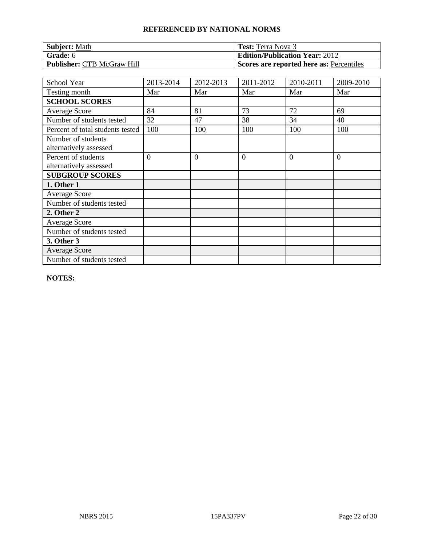| <b>Subject: Math</b>              | <b>Test:</b> Terra Nova 3                |
|-----------------------------------|------------------------------------------|
| Grade: $6$                        | <b>Edition/Publication Year: 2012</b>    |
| <b>Publisher: CTB McGraw Hill</b> | Scores are reported here as: Percentiles |

| School Year                                   | 2013-2014      | 2012-2013      | 2011-2012      | 2010-2011 | 2009-2010 |
|-----------------------------------------------|----------------|----------------|----------------|-----------|-----------|
| Testing month                                 | Mar            | Mar            | Mar            | Mar       | Mar       |
| <b>SCHOOL SCORES</b>                          |                |                |                |           |           |
| Average Score                                 | 84             | 81             | 73             | 72        | 69        |
| Number of students tested                     | 32             | 47             | 38             | 34        | 40        |
| Percent of total students tested              | 100            | 100            | 100            | 100       | 100       |
| Number of students<br>alternatively assessed  |                |                |                |           |           |
| Percent of students<br>alternatively assessed | $\overline{0}$ | $\overline{0}$ | $\overline{0}$ | $\theta$  | $\theta$  |
| <b>SUBGROUP SCORES</b>                        |                |                |                |           |           |
| 1. Other 1                                    |                |                |                |           |           |
| <b>Average Score</b>                          |                |                |                |           |           |
| Number of students tested                     |                |                |                |           |           |
| 2. Other 2                                    |                |                |                |           |           |
| <b>Average Score</b>                          |                |                |                |           |           |
| Number of students tested                     |                |                |                |           |           |
| 3. Other 3                                    |                |                |                |           |           |
| <b>Average Score</b>                          |                |                |                |           |           |
| Number of students tested                     |                |                |                |           |           |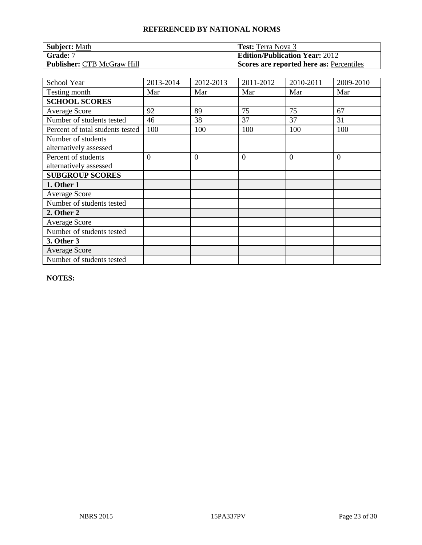| <b>Subject: Math</b>              | <b>Test:</b> Terra Nova 3                |
|-----------------------------------|------------------------------------------|
| Grade: 7                          | <b>Edition/Publication Year: 2012</b>    |
| <b>Publisher: CTB McGraw Hill</b> | Scores are reported here as: Percentiles |

| School Year                                   | 2013-2014      | 2012-2013      | 2011-2012      | 2010-2011 | 2009-2010 |
|-----------------------------------------------|----------------|----------------|----------------|-----------|-----------|
| Testing month                                 | Mar            | Mar            | Mar            | Mar       | Mar       |
| <b>SCHOOL SCORES</b>                          |                |                |                |           |           |
| <b>Average Score</b>                          | 92             | 89             | 75             | 75        | 67        |
| Number of students tested                     | 46             | 38             | 37             | 37        | 31        |
| Percent of total students tested              | 100            | 100            | 100            | 100       | 100       |
| Number of students<br>alternatively assessed  |                |                |                |           |           |
| Percent of students<br>alternatively assessed | $\overline{0}$ | $\overline{0}$ | $\overline{0}$ | $\Omega$  | $\theta$  |
| <b>SUBGROUP SCORES</b>                        |                |                |                |           |           |
| 1. Other 1                                    |                |                |                |           |           |
| <b>Average Score</b>                          |                |                |                |           |           |
| Number of students tested                     |                |                |                |           |           |
| 2. Other 2                                    |                |                |                |           |           |
| <b>Average Score</b>                          |                |                |                |           |           |
| Number of students tested                     |                |                |                |           |           |
| 3. Other 3                                    |                |                |                |           |           |
| <b>Average Score</b>                          |                |                |                |           |           |
| Number of students tested                     |                |                |                |           |           |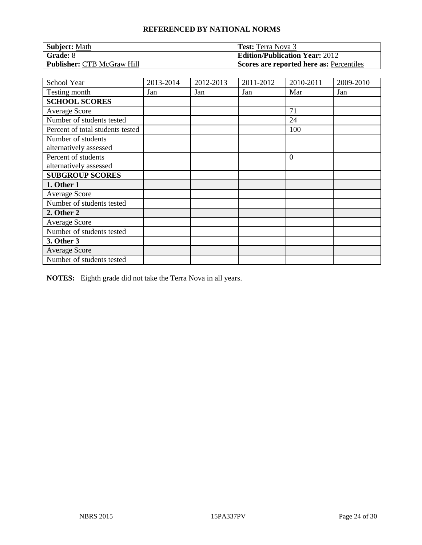| <b>Subject: Math</b>              | <b>Test:</b> Terra Nova 3                |
|-----------------------------------|------------------------------------------|
| Grade: 8                          | <b>Edition/Publication Year: 2012</b>    |
| <b>Publisher: CTB McGraw Hill</b> | Scores are reported here as: Percentiles |

| School Year                      | 2013-2014 | 2012-2013 | 2011-2012 | 2010-2011 | 2009-2010 |
|----------------------------------|-----------|-----------|-----------|-----------|-----------|
| Testing month                    | Jan       | Jan       | Jan       | Mar       | Jan       |
| <b>SCHOOL SCORES</b>             |           |           |           |           |           |
| <b>Average Score</b>             |           |           |           | 71        |           |
| Number of students tested        |           |           |           | 24        |           |
| Percent of total students tested |           |           |           | 100       |           |
| Number of students               |           |           |           |           |           |
| alternatively assessed           |           |           |           |           |           |
| Percent of students              |           |           |           | $\Omega$  |           |
| alternatively assessed           |           |           |           |           |           |
| <b>SUBGROUP SCORES</b>           |           |           |           |           |           |
| 1. Other 1                       |           |           |           |           |           |
| <b>Average Score</b>             |           |           |           |           |           |
| Number of students tested        |           |           |           |           |           |
| 2. Other 2                       |           |           |           |           |           |
| <b>Average Score</b>             |           |           |           |           |           |
| Number of students tested        |           |           |           |           |           |
| 3. Other 3                       |           |           |           |           |           |
| Average Score                    |           |           |           |           |           |
| Number of students tested        |           |           |           |           |           |

**NOTES:** Eighth grade did not take the Terra Nova in all years.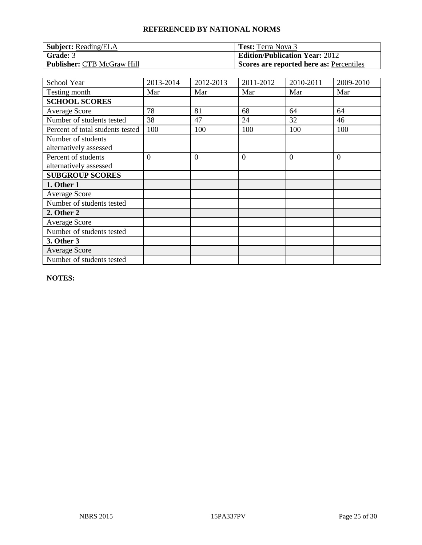| <b>Subject:</b> Reading/ELA       | <b>Test:</b> Terra Nova 3                |
|-----------------------------------|------------------------------------------|
| Grade: 3                          | <b>Edition/Publication Year: 2012</b>    |
| <b>Publisher: CTB McGraw Hill</b> | Scores are reported here as: Percentiles |

| School Year                                   | 2013-2014      | 2012-2013      | 2011-2012      | 2010-2011 | 2009-2010      |
|-----------------------------------------------|----------------|----------------|----------------|-----------|----------------|
| Testing month                                 | Mar            | Mar            | Mar            | Mar       | Mar            |
| <b>SCHOOL SCORES</b>                          |                |                |                |           |                |
| Average Score                                 | 78             | 81             | 68             | 64        | 64             |
| Number of students tested                     | 38             | 47             | 24             | 32        | 46             |
| Percent of total students tested              | 100            | 100            | 100            | 100       | 100            |
| Number of students<br>alternatively assessed  |                |                |                |           |                |
| Percent of students<br>alternatively assessed | $\overline{0}$ | $\overline{0}$ | $\overline{0}$ | $\Omega$  | $\overline{0}$ |
| <b>SUBGROUP SCORES</b>                        |                |                |                |           |                |
| 1. Other 1                                    |                |                |                |           |                |
| <b>Average Score</b>                          |                |                |                |           |                |
| Number of students tested                     |                |                |                |           |                |
| 2. Other 2                                    |                |                |                |           |                |
| <b>Average Score</b>                          |                |                |                |           |                |
| Number of students tested                     |                |                |                |           |                |
| 3. Other 3                                    |                |                |                |           |                |
| <b>Average Score</b>                          |                |                |                |           |                |
| Number of students tested                     |                |                |                |           |                |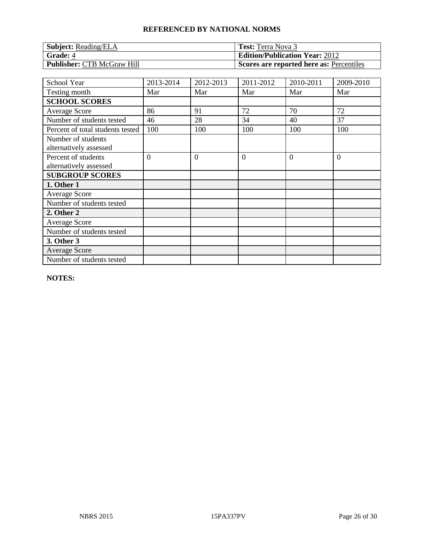| <b>Subject:</b> Reading/ELA       | <b>Test:</b> Terra Nova 3                |
|-----------------------------------|------------------------------------------|
| <b>Grade: 4</b>                   | <b>Edition/Publication Year: 2012</b>    |
| <b>Publisher: CTB McGraw Hill</b> | Scores are reported here as: Percentiles |

| School Year                                   | 2013-2014 | 2012-2013      | 2011-2012      | 2010-2011 | 2009-2010 |
|-----------------------------------------------|-----------|----------------|----------------|-----------|-----------|
| Testing month                                 | Mar       | Mar            | Mar            | Mar       | Mar       |
| <b>SCHOOL SCORES</b>                          |           |                |                |           |           |
| <b>Average Score</b>                          | 86        | 91             | 72             | 70        | 72        |
| Number of students tested                     | 46        | 28             | 34             | 40        | 37        |
| Percent of total students tested              | 100       | 100            | 100            | 100       | 100       |
| Number of students<br>alternatively assessed  |           |                |                |           |           |
| Percent of students<br>alternatively assessed | $\theta$  | $\overline{0}$ | $\overline{0}$ | $\Omega$  | $\theta$  |
| <b>SUBGROUP SCORES</b>                        |           |                |                |           |           |
| 1. Other 1                                    |           |                |                |           |           |
| <b>Average Score</b>                          |           |                |                |           |           |
| Number of students tested                     |           |                |                |           |           |
| 2. Other 2                                    |           |                |                |           |           |
| <b>Average Score</b>                          |           |                |                |           |           |
| Number of students tested                     |           |                |                |           |           |
| 3. Other 3                                    |           |                |                |           |           |
| <b>Average Score</b>                          |           |                |                |           |           |
| Number of students tested                     |           |                |                |           |           |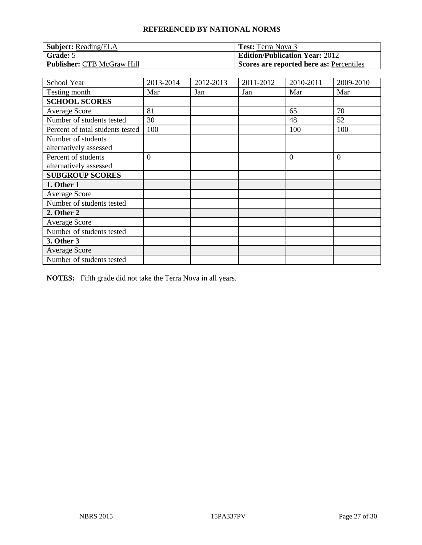| <b>Subject:</b> Reading/ELA       | <b>Test:</b> Terra Nova 3                |
|-----------------------------------|------------------------------------------|
| Grade: 5                          | <b>Edition/Publication Year: 2012</b>    |
| <b>Publisher: CTB McGraw Hill</b> | Scores are reported here as: Percentiles |

| School Year                                   | 2013-2014      | 2012-2013 | 2011-2012 | 2010-2011 | 2009-2010 |
|-----------------------------------------------|----------------|-----------|-----------|-----------|-----------|
| Testing month                                 | Mar            | Jan       | Jan       | Mar       | Mar       |
| <b>SCHOOL SCORES</b>                          |                |           |           |           |           |
| Average Score                                 | 81             |           |           | 65        | 70        |
| Number of students tested                     | 30             |           |           | 48        | 52        |
| Percent of total students tested              | 100            |           |           | 100       | 100       |
| Number of students<br>alternatively assessed  |                |           |           |           |           |
| Percent of students<br>alternatively assessed | $\overline{0}$ |           |           | $\Omega$  | $\theta$  |
| <b>SUBGROUP SCORES</b>                        |                |           |           |           |           |
| 1. Other 1                                    |                |           |           |           |           |
| <b>Average Score</b>                          |                |           |           |           |           |
| Number of students tested                     |                |           |           |           |           |
| 2. Other 2                                    |                |           |           |           |           |
| <b>Average Score</b>                          |                |           |           |           |           |
| Number of students tested                     |                |           |           |           |           |
| 3. Other 3                                    |                |           |           |           |           |
| <b>Average Score</b>                          |                |           |           |           |           |
| Number of students tested                     |                |           |           |           |           |

**NOTES:** Fifth grade did not take the Terra Nova in all years.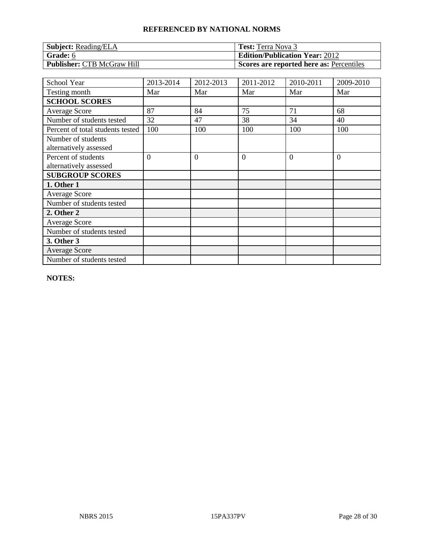| <b>Subject:</b> Reading/ELA       | <b>Test:</b> Terra Nova 3                |
|-----------------------------------|------------------------------------------|
| Grade: 6                          | <b>Edition/Publication Year: 2012</b>    |
| <b>Publisher: CTB McGraw Hill</b> | Scores are reported here as: Percentiles |

| School Year                                   | 2013-2014      | 2012-2013      | 2011-2012      | 2010-2011 | 2009-2010      |
|-----------------------------------------------|----------------|----------------|----------------|-----------|----------------|
| Testing month                                 | Mar            | Mar            | Mar            | Mar       | Mar            |
| <b>SCHOOL SCORES</b>                          |                |                |                |           |                |
| Average Score                                 | 87             | 84             | 75             | 71        | 68             |
| Number of students tested                     | 32             | 47             | 38             | 34        | 40             |
| Percent of total students tested              | 100            | 100            | 100            | 100       | 100            |
| Number of students<br>alternatively assessed  |                |                |                |           |                |
| Percent of students<br>alternatively assessed | $\overline{0}$ | $\overline{0}$ | $\overline{0}$ | $\Omega$  | $\overline{0}$ |
| <b>SUBGROUP SCORES</b>                        |                |                |                |           |                |
| 1. Other 1                                    |                |                |                |           |                |
| <b>Average Score</b>                          |                |                |                |           |                |
| Number of students tested                     |                |                |                |           |                |
| 2. Other 2                                    |                |                |                |           |                |
| <b>Average Score</b>                          |                |                |                |           |                |
| Number of students tested                     |                |                |                |           |                |
| 3. Other 3                                    |                |                |                |           |                |
| <b>Average Score</b>                          |                |                |                |           |                |
| Number of students tested                     |                |                |                |           |                |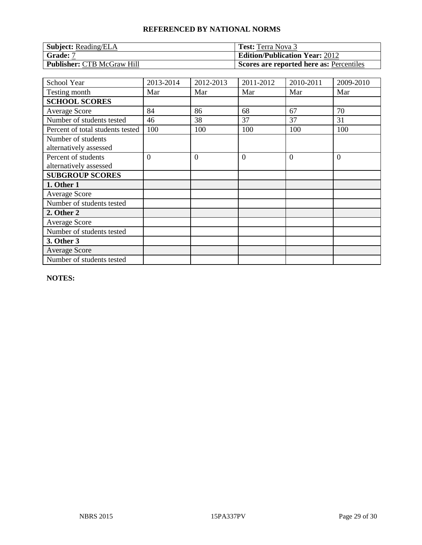| <b>Subject:</b> Reading/ELA       | <b>Test:</b> Terra Nova 3                |
|-----------------------------------|------------------------------------------|
| Grade: 7                          | <b>Edition/Publication Year: 2012</b>    |
| <b>Publisher: CTB McGraw Hill</b> | Scores are reported here as: Percentiles |

| School Year                                   | 2013-2014      | 2012-2013      | 2011-2012      | 2010-2011 | 2009-2010      |
|-----------------------------------------------|----------------|----------------|----------------|-----------|----------------|
| Testing month                                 | Mar            | Mar            | Mar            | Mar       | Mar            |
| <b>SCHOOL SCORES</b>                          |                |                |                |           |                |
| Average Score                                 | 84             | 86             | 68             | 67        | 70             |
| Number of students tested                     | 46             | 38             | 37             | 37        | 31             |
| Percent of total students tested              | 100            | 100            | 100            | 100       | 100            |
| Number of students<br>alternatively assessed  |                |                |                |           |                |
| Percent of students<br>alternatively assessed | $\overline{0}$ | $\overline{0}$ | $\overline{0}$ | $\Omega$  | $\overline{0}$ |
| <b>SUBGROUP SCORES</b>                        |                |                |                |           |                |
| 1. Other 1                                    |                |                |                |           |                |
| <b>Average Score</b>                          |                |                |                |           |                |
| Number of students tested                     |                |                |                |           |                |
| 2. Other 2                                    |                |                |                |           |                |
| <b>Average Score</b>                          |                |                |                |           |                |
| Number of students tested                     |                |                |                |           |                |
| 3. Other 3                                    |                |                |                |           |                |
| <b>Average Score</b>                          |                |                |                |           |                |
| Number of students tested                     |                |                |                |           |                |